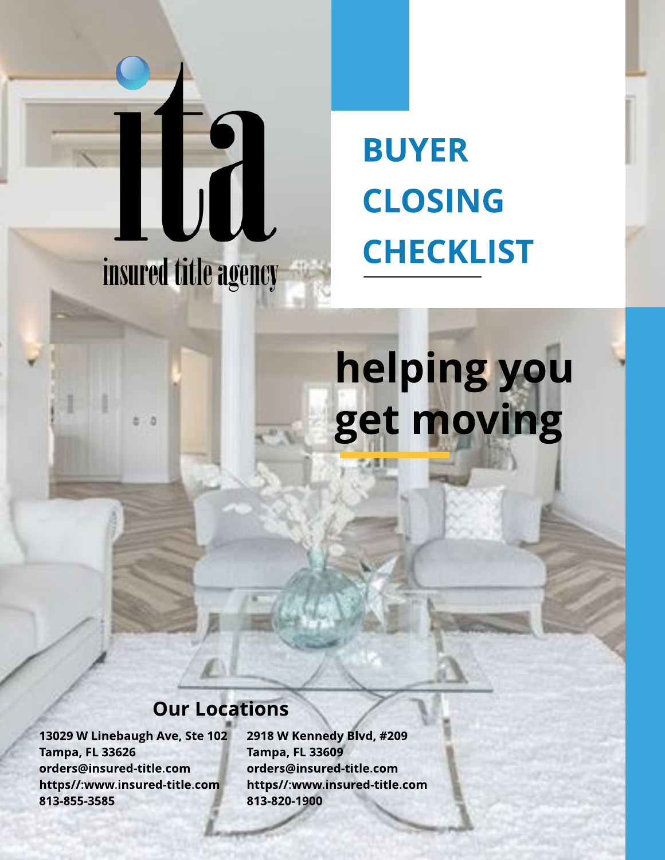### BUYER CLOSING **CHECKLIST**

# helping you get moving

#### **Our Locations**

UU

insured title agency

13029 W Linebaugh Ave, Ste 102 Tampa, FL 33626 orders@insured-title.com https//:www.insured-title.com 813-855-3585

2918 W Kennedy Blvd, #209 Tampa, FL 33609 orders@insured-title.com https//:www.insured-title.com 813-820-1900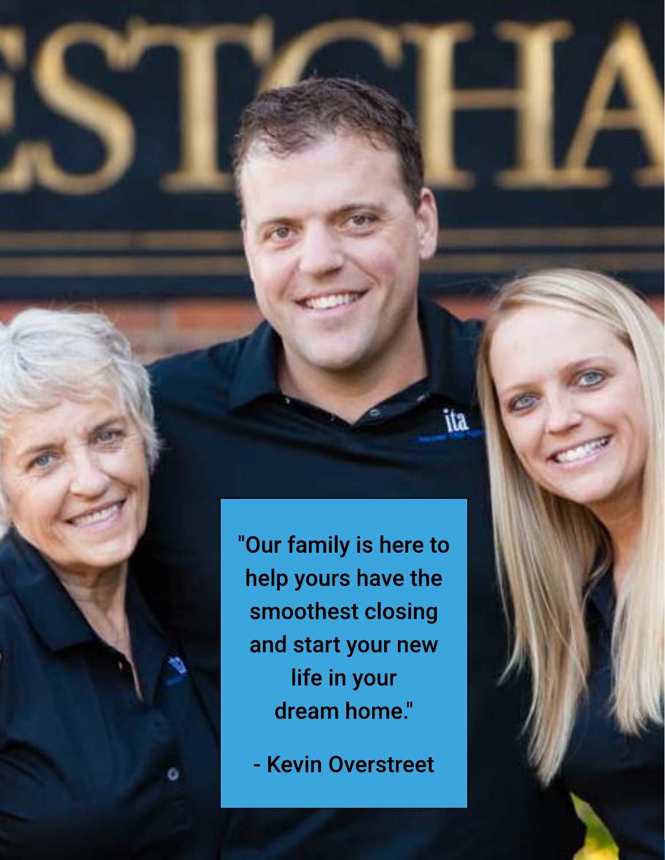"Our family is here to help yours have the smoothest closing and start your new life in your dream home."

.<br>Ma

- Kevin Overstreet

o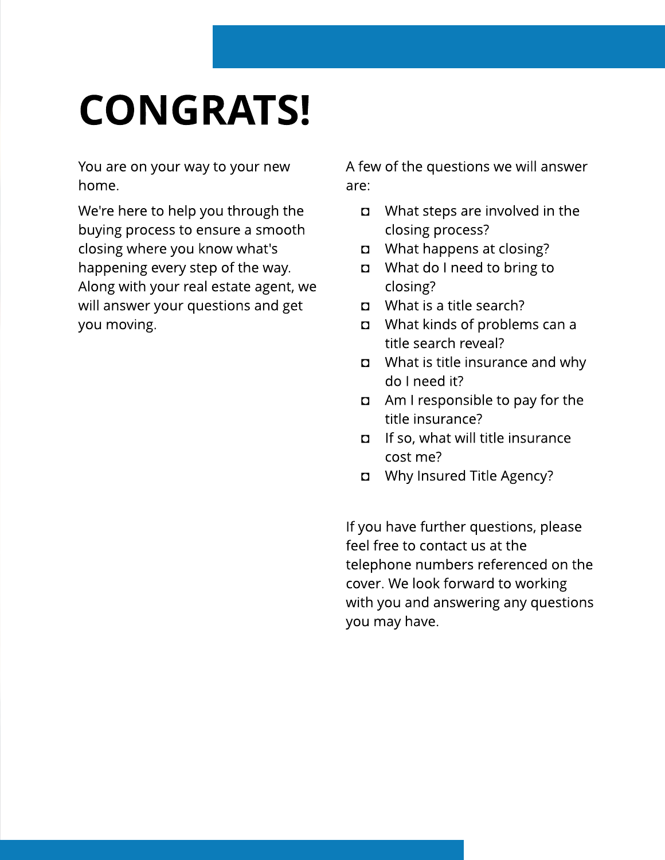## CONGRATS!

You are on your way to your new home.

We're here to help you through the buying process to ensure a smooth closing where you know what's happening every step of the way. Along with your real estate agent, we will answer your questions and get you moving.

A few of the questions we will answer are:

- a What steps are involved in the closing process?
- **D** What happens at closing?
- What do I need to bring to closing?
- $\Box$  What is a title search?
- What kinds of problems can a title search reveal?
- $\Box$  What is title insurance and why do I need it?
- $\Box$  Am I responsible to pay for the title insurance?
- $\Box$  If so, what will title insurance cost me?
- a Why Insured Title Agency?

If you have further questions, please feel free to contact us at the telephone numbers referenced on the cover. We look forward to working with you and answering any questions you may have.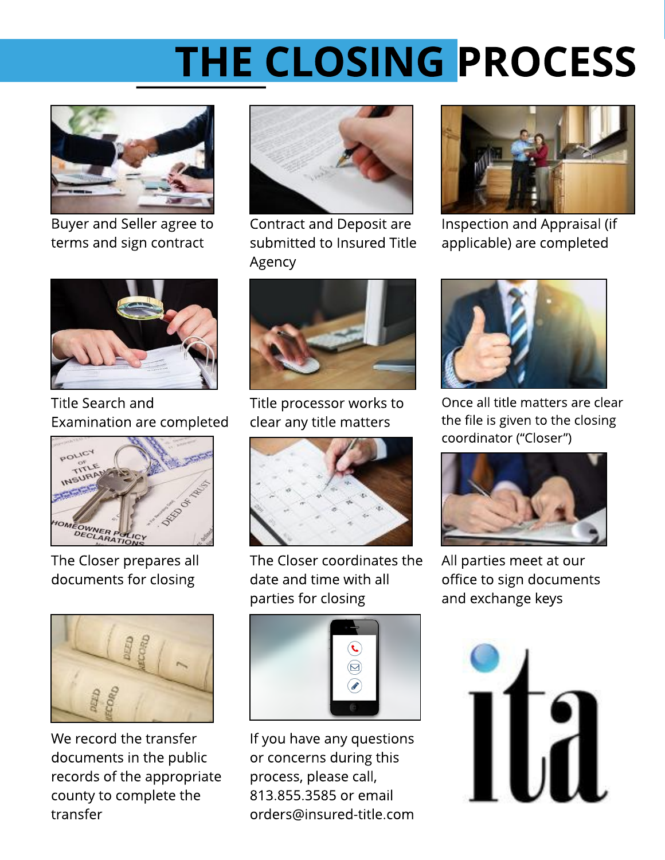## THE CLOSING PROCESS



Buyer and Seller agree to terms and sign contract



Title Search and Examination are completed



The Closer prepares all documents for closing



We record the transfer documents in the public records of the appropriate county to complete the transfer



Contract and Deposit are submitted to Insured Title Agency



Title processor works to clear any title matters



The Closer coordinates the date and time with all parties for closing



If you have any questions or concerns during this process, please call, 813.855.3585 or email orders@insured-title.com



Inspection and Appraisal (if applicable) are completed



Once all title matters are clear the file is given to the closing coordinator ("Closer")



All parties meet at our office to sign documents and exchange keys

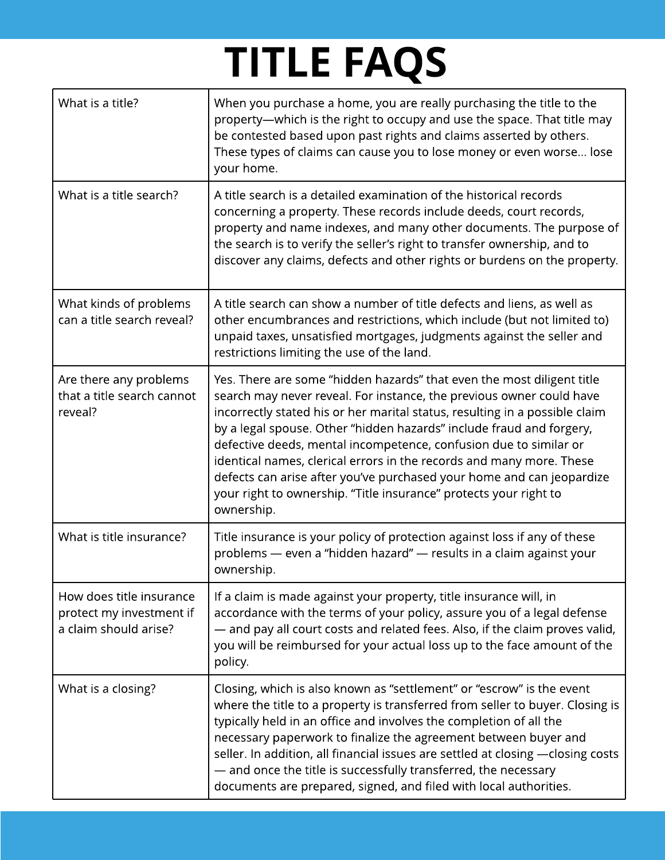# **TITLE FAQS**

| What is a title?                                                              | When you purchase a home, you are really purchasing the title to the<br>property-which is the right to occupy and use the space. That title may<br>be contested based upon past rights and claims asserted by others.<br>These types of claims can cause you to lose money or even worse lose<br>your home.                                                                                                                                                                                                                                                                                                    |
|-------------------------------------------------------------------------------|----------------------------------------------------------------------------------------------------------------------------------------------------------------------------------------------------------------------------------------------------------------------------------------------------------------------------------------------------------------------------------------------------------------------------------------------------------------------------------------------------------------------------------------------------------------------------------------------------------------|
| What is a title search?                                                       | A title search is a detailed examination of the historical records<br>concerning a property. These records include deeds, court records,<br>property and name indexes, and many other documents. The purpose of<br>the search is to verify the seller's right to transfer ownership, and to<br>discover any claims, defects and other rights or burdens on the property.                                                                                                                                                                                                                                       |
| What kinds of problems<br>can a title search reveal?                          | A title search can show a number of title defects and liens, as well as<br>other encumbrances and restrictions, which include (but not limited to)<br>unpaid taxes, unsatisfied mortgages, judgments against the seller and<br>restrictions limiting the use of the land.                                                                                                                                                                                                                                                                                                                                      |
| Are there any problems<br>that a title search cannot<br>reveal?               | Yes. There are some "hidden hazards" that even the most diligent title<br>search may never reveal. For instance, the previous owner could have<br>incorrectly stated his or her marital status, resulting in a possible claim<br>by a legal spouse. Other "hidden hazards" include fraud and forgery,<br>defective deeds, mental incompetence, confusion due to similar or<br>identical names, clerical errors in the records and many more. These<br>defects can arise after you've purchased your home and can jeopardize<br>your right to ownership. "Title insurance" protects your right to<br>ownership. |
| What is title insurance?                                                      | Title insurance is your policy of protection against loss if any of these<br>problems - even a "hidden hazard" - results in a claim against your<br>ownership.                                                                                                                                                                                                                                                                                                                                                                                                                                                 |
| How does title insurance<br>protect my investment if<br>a claim should arise? | If a claim is made against your property, title insurance will, in<br>accordance with the terms of your policy, assure you of a legal defense<br>- and pay all court costs and related fees. Also, if the claim proves valid,<br>you will be reimbursed for your actual loss up to the face amount of the<br>policy.                                                                                                                                                                                                                                                                                           |
| What is a closing?                                                            | Closing, which is also known as "settlement" or "escrow" is the event<br>where the title to a property is transferred from seller to buyer. Closing is<br>typically held in an office and involves the completion of all the<br>necessary paperwork to finalize the agreement between buyer and<br>seller. In addition, all financial issues are settled at closing -closing costs<br>— and once the title is successfully transferred, the necessary<br>documents are prepared, signed, and filed with local authorities.                                                                                     |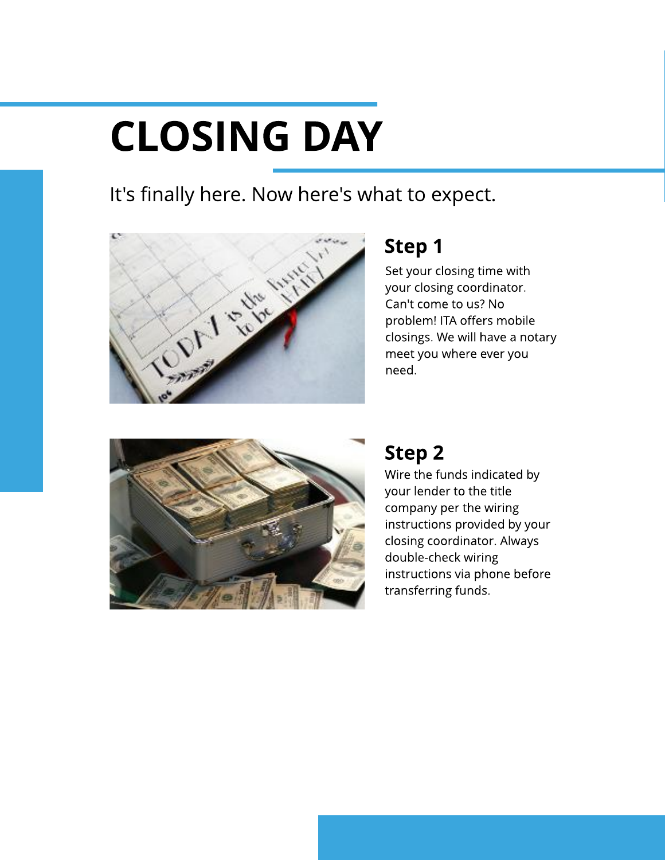# CLOSING DAY

It's finally here. Now here's what to expect.



### Step 1

Set your closing time with your closing coordinator. Can't come to us? No problem! ITA offers mobile closings. We will have a notary meet you where ever you need.



### Step 2

Wire the funds indicated by your lender to the title company per the wiring instructions provided by your closing coordinator. Always double-check wiring instructions via phone before transferring funds.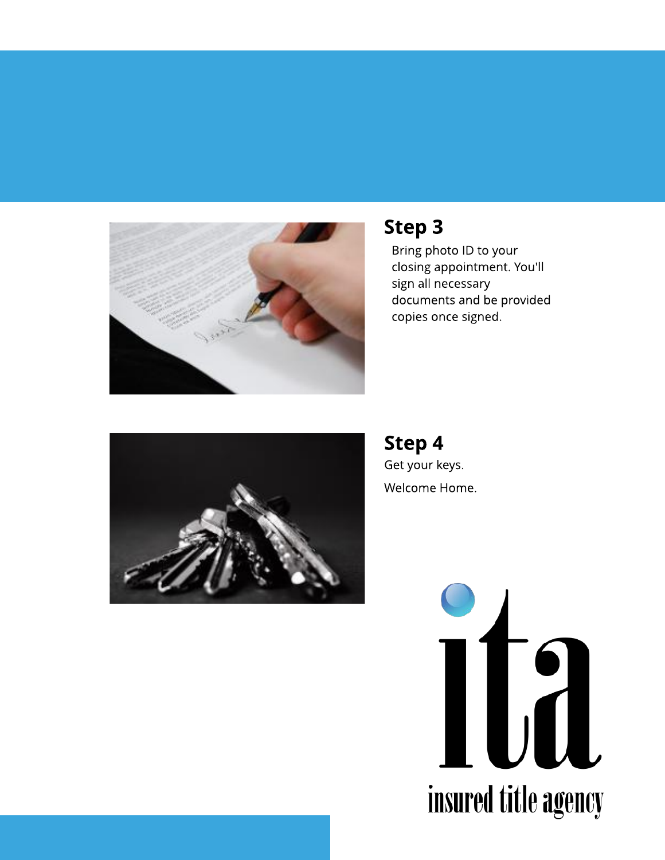

#### Step 3

Bring photo ID to your closing appointment. You'll sign all necessary documents and be provided copies once signed.



Step 4 Get your keys. Welcome Home.